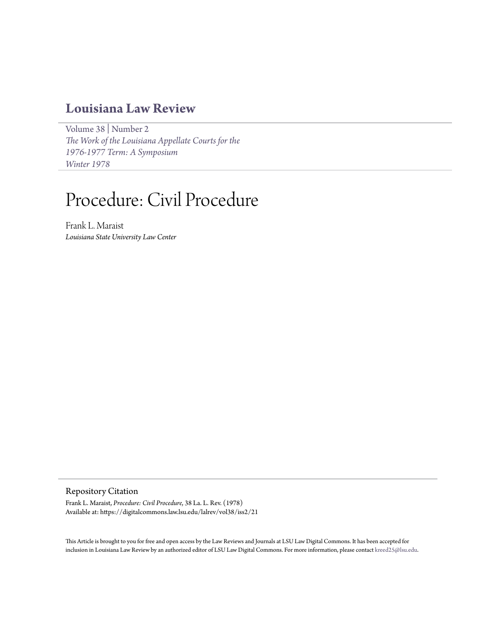# **[Louisiana Law Review](https://digitalcommons.law.lsu.edu/lalrev)**

[Volume 38](https://digitalcommons.law.lsu.edu/lalrev/vol38) | [Number 2](https://digitalcommons.law.lsu.edu/lalrev/vol38/iss2) *[The Work of the Louisiana Appellate Courts for the](https://digitalcommons.law.lsu.edu/lalrev/vol38/iss2) [1976-1977 Term: A Symposium](https://digitalcommons.law.lsu.edu/lalrev/vol38/iss2) [Winter 1978](https://digitalcommons.law.lsu.edu/lalrev/vol38/iss2)*

# Procedure: Civil Procedure

Frank L. Maraist *Louisiana State University Law Center*

Repository Citation

Frank L. Maraist, *Procedure: Civil Procedure*, 38 La. L. Rev. (1978) Available at: https://digitalcommons.law.lsu.edu/lalrev/vol38/iss2/21

This Article is brought to you for free and open access by the Law Reviews and Journals at LSU Law Digital Commons. It has been accepted for inclusion in Louisiana Law Review by an authorized editor of LSU Law Digital Commons. For more information, please contact [kreed25@lsu.edu](mailto:kreed25@lsu.edu).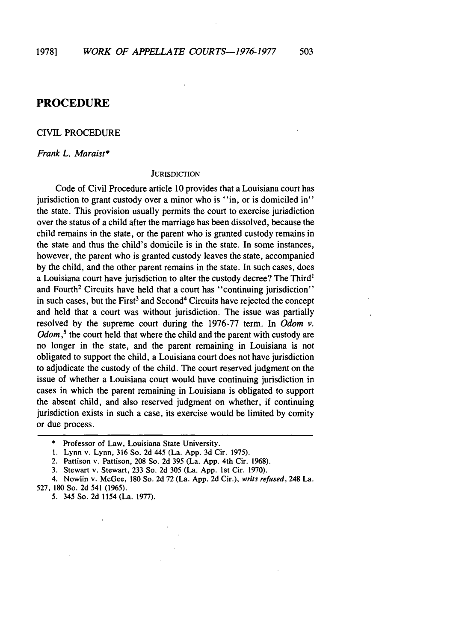# **PROCEDURE**

# CIVIL PROCEDURE

*Frank L. Maraist\**

### **JURISDICTION**

Code of Civil Procedure article 10 provides that a Louisiana court has jurisdiction to grant custody over a minor who is "in, or is domiciled in" the state. This provision usually permits the court to exercise jurisdiction over the status of a child after the marriage has been dissolved, because the child remains in the state, or the parent who is granted custody remains in the state and thus the child's domicile is in the state. In some instances, however, the parent who is granted custody leaves the state, accompanied by the child, and the other parent remains in the state. In such cases, does a Louisiana court have jurisdiction to alter the custody decree? The Third' and Fourth<sup>2</sup> Circuits have held that a court has "continuing jurisdiction" in such cases, but the First<sup>3</sup> and Second<sup>4</sup> Circuits have rejected the concept and held that a court was without jurisdiction. The issue was partially resolved by the supreme court during the 1976-77 term. In *Odom v.*  $Odom<sub>1</sub><sup>5</sup>$ , the court held that where the child and the parent with custody are no longer in the state, and the parent remaining in Louisiana is not obligated to support the child, a Louisiana court does not have jurisdiction to adjudicate the custody of the child. The court reserved judgment on the issue of whether a Louisiana court would have continuing jurisdiction in cases in which the parent remaining in Louisiana is obligated to support the absent child, and also reserved judgment on whether, if continuing jurisdiction exists in such a case, its exercise would be limited by comity or due process.

- 1. Lynn v. Lynn, 316 So. 2d 445 (La. App. 3d Cir. 1975).
- 2. Pattison v. Pattison, 208 So. 2d 395 (La. App. 4th Cir. 1968).
- 3. Stewart v. Stewart, 233 So. 2d 305 (La. App. 1st Cir. 1970).
- 4. Nowlin v. McGee, 180 So. **2d** 72 (La. App. 2d Cir.), writs refused, 248 La. 527, **180** So. 2d 541 (1965).
	- **5.** 345 So. 2d 1154 (La. 1977).

<sup>\*</sup> Professor of Law, Louisiana State University.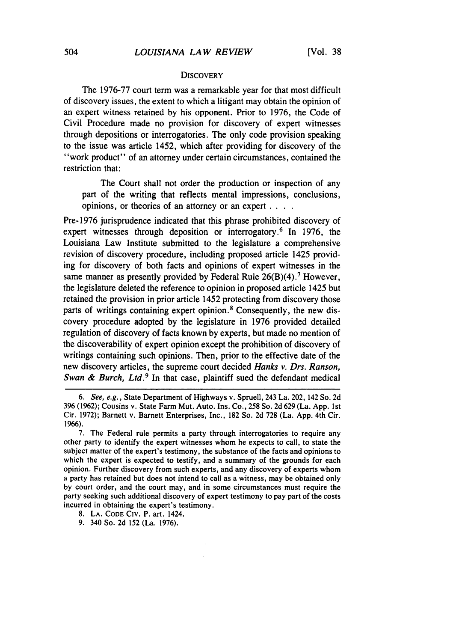# **DISCOVERY**

The 1976-77 court term was a remarkable year for that most difficult of discovery issues, the extent to which a litigant may obtain the opinion of an expert witness retained by his opponent. Prior to 1976, the Code of Civil Procedure made no provision for discovery of expert witnesses through depositions or interrogatories. The only code provision speaking to the issue was article 1452, which after providing for discovery of the "work product" of an attorney under certain circumstances, contained the restriction that:

The Court shall not order the production or inspection of any part of the writing that reflects mental impressions, conclusions, opinions, or theories of an attorney or an expert **....**

Pre-1976 jurisprudence indicated that this phrase prohibited discovery of expert witnesses through deposition or interrogatory.<sup>6</sup> In 1976, the Louisiana Law Institute submitted to the legislature a comprehensive revision of discovery procedure, including proposed article 1425 providing for discovery of both facts and opinions of expert witnesses in the same manner as presently provided by Federal Rule  $26(B)(4)$ .<sup>7</sup> However, the legislature deleted the reference to opinion in proposed article 1425 but retained the provision in prior article 1452 protecting from discovery those parts of writings containing expert opinion. 8 Consequently, the new discovery procedure adopted by the legislature in 1976 provided detailed regulation of discovery of facts known by experts, but made no mention of the discoverability of expert opinion except the prohibition of discovery of writings containing such opinions. Then, prior to the effective date of the new discovery articles, the supreme court decided *Hanks v. Drs. Ranson,* Swan & Burch, Ltd.<sup>9</sup> In that case, plaintiff sued the defendant medical

*<sup>6.</sup>* See, e.g., State Department of Highways v. Spruell, 243 La. 202, 142 So. 2d 396 (1962); Cousins v. State Farm Mut. Auto. Ins. Co., 258 So. 2d 629 (La. App. 1st Cir. 1972); Barnett v. Barnett Enterprises, Inc., 182 So. 2d 728 (La. App. 4th Cir. 1966).

<sup>7.</sup> The Federal rule permits a party through interrogatories to require any other party to identify the expert witnesses whom he expects to call, to state the subject matter of the expert's testimony, the substance of the facts and opinions to which the expert is expected to testify, and a summary of the grounds for each opinion. Further discovery from such experts, and any discovery of experts whom a party has retained but does not intend to call as a witness, may be obtained only by court order, and the court may, and in some circumstances must require the party seeking such additional discovery of expert testimony to pay part of the costs incurred in obtaining the expert's testimony.

<sup>8.</sup> **LA. CODE** CIV. P. art. 1424.

<sup>9. 340</sup> So. 2d 152 (La. 1976).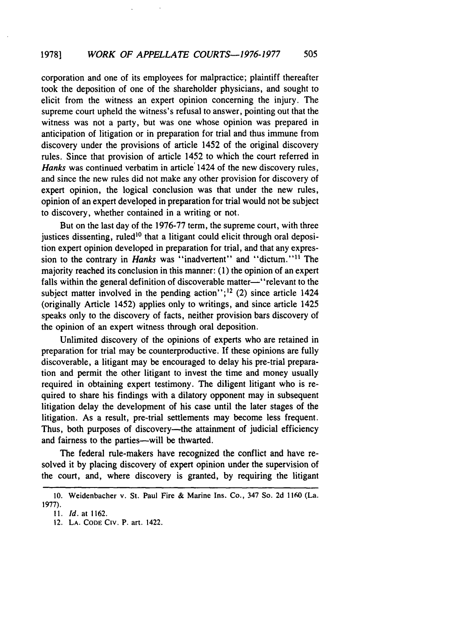#### *WORK OF APPELLATE COURTS-1976-1977* 505 **19781**

corporation and one of its employees for malpractice; plaintiff thereafter took the deposition of one of the shareholder physicians, and sought to elicit from the witness an expert opinion concerning the injury. The supreme court upheld the witness's refusal to answer, pointing out that the witness was not a party, but was one whose opinion was prepared in anticipation of litigation or in preparation for trial and thus immune from discovery under the provisions of article 1452 of the original discovery rules. Since that provision of article 1452 to which the court referred in *Hanks* was continued verbatim in article 1424 of the new discovery rules, and since the new rules did not make any other provision for discovery of expert opinion, the logical conclusion was that under the new rules, opinion of an expert developed in preparation for trial would not be subject to discovery, whether contained in a writing or not.

But on the last day of the 1976-77 term, the supreme court, with three justices dissenting, ruled<sup>10</sup> that a litigant could elicit through oral deposition expert opinion developed in preparation for trial, and that any expression to the contrary in *Hanks* was "inadvertent" and "dictum."<sup>11</sup> The majority reached its conclusion in this manner: (1) the opinion of an expert falls within the general definition of discoverable matter-'relevant to the subject matter involved in the pending action"; $^{12}$  (2) since article 1424 (originally Article 1452) applies only to writings, and since article 1425 speaks only to the discovery of facts, neither provision bars discovery of the opinion of an expert witness through oral deposition.

Unlimited discovery of the opinions of experts who are retained in preparation for trial may be counterproductive. **If** these opinions are fully discoverable, a litigant may be encouraged to delay his pre-trial preparation and permit the other litigant to invest the time and money usually required in obtaining expert testimony. The diligent litigant who is required to share his findings with a dilatory opponent may in subsequent litigation delay the development of his case until the later stages of the litigation. As a result, pre-trial settlements may become less frequent. Thus, both purposes of discovery—the attainment of judicial efficiency and fairness to the parties-will be thwarted.

The federal rule-makers have recognized the conflict and have resolved it by placing discovery of expert opinion under the supervision of the court, and, where discovery is granted, by requiring the litigant

<sup>10.</sup> Weidenbacher v. St. Paul Fire & Marine Ins. Co., 347 So. 2d 1160 (La. 1977).

*<sup>11.</sup>* Id. at 1162.

<sup>12.</sup> LA. **CODE** CiV. P. art. 1422.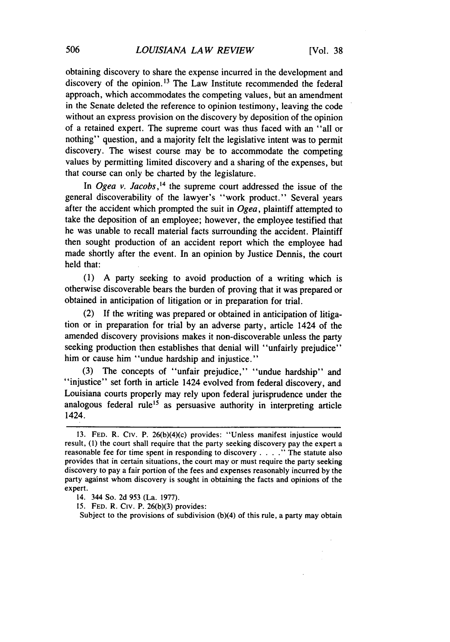obtaining discovery to share the expense incurred in the development and discovery of the opinion. 13 The Law Institute recommended the federal approach, which accommodates the competing values, but an amendment in the Senate deleted the reference to opinion testimony, leaving the code without an express provision on the discovery by deposition of the opinion of a retained expert. The supreme court was thus faced with an "all or nothing" question, and a majority felt the legislative intent was to permit discovery. The wisest course may be to accommodate the competing values by permitting limited discovery and a sharing of the expenses, but that course can only be charted by the legislature.

In *Ogea v. Jacobs*,<sup>14</sup> the supreme court addressed the issue of the general discoverability of the lawyer's "work product." Several years after the accident which prompted the suit in *Ogea,* plaintiff attempted to take the deposition of an employee; however, the employee testified that he was unable to recall material facts surrounding the accident. Plaintiff then sought production of an accident report which the employee had made shortly after the event. In an opinion by Justice Dennis, the court held that:

(1) A party seeking to avoid production of a writing which is otherwise discoverable bears the burden of proving that it was prepared or obtained in anticipation of litigation or in preparation for trial.

(2) If the writing was prepared or obtained in anticipation of litigation or in preparation for trial by an adverse party, article 1424 of the amended discovery provisions makes it non-discoverable unless the party seeking production then establishes that denial will "unfairly prejudice" him or cause him "undue hardship and injustice."

(3) The concepts of "unfair prejudice," "undue hardship" and "injustice" set forth in article 1424 evolved from federal discovery, and Louisiana courts properly may rely upon federal jurisprudence under the analogous federal rule<sup>15</sup> as persuasive authority in interpreting article 1424.

Subject to the provisions of subdivision (b)(4) of this rule, a party may obtain

<sup>13.</sup> FED. R. Civ. P. 26(b)(4)(c) provides: "Unless manifest injustice would result, (1) the court shall require that the party seeking discovery pay the expert a reasonable fee for time spent in responding to discovery .... **."** The statute also provides that in certain situations, the court may or must require the party seeking discovery to pay a fair portion of the fees and expenses reasonably incurred by the party against whom discovery is sought in obtaining the facts and opinions of the expert.

<sup>14. 344</sup> So. 2d 953 (La. 1977).

<sup>15.</sup> FED. R. Civ. P. 26(b)(3) provides: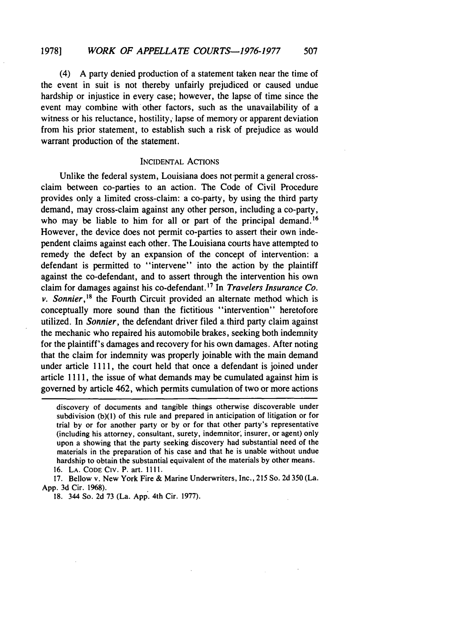(4) A party denied production of a statement taken near the time of the event in suit is not thereby unfairly prejudiced or caused undue hardship or injustice in every case; however, the lapse of time since the event may combine with other factors, such as the unavailability of a witness or his reluctance, hostility, lapse of memory or apparent deviation from his prior statement, to establish such a risk of prejudice as would warrant production of the statement.

# INCIDENTAL ACTIONS

Unlike the federal system, Louisiana does not-permit a general crossclaim between co-parties to an action. The Code of Civil Procedure provides only a limited cross-claim: a co-party, by using the third party demand, may cross-claim against any other person, including a co-party, who may be liable to him for all or part of the principal demand.<sup>16</sup> However, the device does not permit co-parties to assert their own independent claims against each other. The Louisiana courts have attempted to remedy the defect by an expansion of the concept of intervention: a defendant is permitted to "intervene" into the action by the plaintiff against the co-defendant, and to assert through the intervention his own claim for damages against his co-defendant. **' <sup>7</sup>**In *Travelers Insurance Co. v. Sonnier,<sup>18</sup>*the Fourth Circuit provided an alternate method which is conceptually more sound than the fictitious "intervention" heretofore utilized. In *Sonnier,* the defendant driver filed athird party claim against the mechanic who repaired his automobile brakes, seeking both indemnity for the plaintiff's damages and recovery for his own damages. After noting that the claim for indemnity was properly joinable with the main demand under article 1111, the court held that once a defendant is joined under article 1111, the issue of what demands may be cumulated against him is governed by article 462, which permits cumulation of two or more actions

discovery of documents and tangible things otherwise discoverable under subdivision (b)(l) of this rule and prepared in anticipation of litigation or for trial by or for another party or by or for that other party's representative (including his attorney, consultant, surety, indemnitor, insurer, or agent) only upon a showing that the party seeking discovery had substantial need of the materials in the preparation of his case and that he is unable without undue hardship to obtain the substantial equivalent of the materials by other means. 16. LA. CODE **CIV.** P. art. I111.

<sup>17.</sup> Bellow v. New York Fire & Marine Underwriters, Inc., 215 So. 2d 350 (La. App. 3d Cir. 1968).

<sup>18. 344</sup> So. 2d 73 (La. App. 4th Cir. 1977).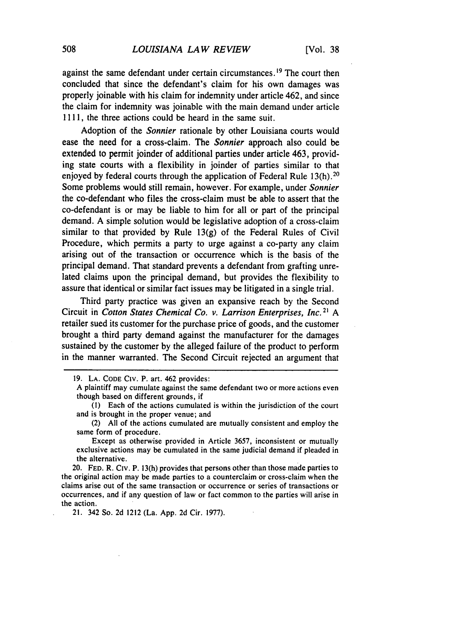against the same defendant under certain circumstances.<sup>19</sup> The court then concluded that since the defendant's claim for his own damages was properly joinable with his claim for indemnity under article 462, and since the claim for indemnity was joinable with the main demand under article 1111, the three actions could be heard in the same suit.

Adoption of the *Sonnier* rationale by other Louisiana courts would ease the need for a cross-claim. The *Sonnier* approach also could be extended to permit joinder of additional parties under article 463, providing state courts with a flexibility in joinder of parties similar to that enjoyed **by** federal courts through the application of Federal Rule **13(h). <sup>2</sup> °** Some problems would still remain, however. For example, under *Sonnier* the co-defendant who files the cross-claim must be able to assert that the co-defendant is or may be liable to him for all or part of the principal demand. **A** simple solution would be legislative adoption of a cross-claim similar to that provided **by** Rule **13(g)** of the Federal Rules of Civil Procedure, which permits a party to urge against a co-party any claim arising out of the transaction or occurrence which is the basis of the principal demand. That standard prevents a defendant from grafting unrelated claims upon the principal demand, but provides the flexibility to assure that identical or similar fact issues may be litigated in a single trial.

Third party practice was given an expansive reach **by** the Second Circuit in *Cotton States* Chemical Co. v. Larrison *Enterprises, Inc.2* **A** retailer sued its customer for the purchase price of goods, and the customer brought a third party demand against the manufacturer for the damages sustained **by** the customer **by** the alleged failure of the product to perform in the manner warranted. The Second Circuit rejected an argument that

exclusive actions may be cumulated in the same judicial demand if pleaded in the alternative.

20. **FED.** R. Civ. P. **13(h)** provides that persons other than those made parties to the original action may be made parties to a counterclaim or cross-claim when the claims arise out of the same transaction or occurrence or series of transactions or occurrences, and if any question of law or fact common to the parties will arise in the action.

21. 342 So. **2d** 1212 (La. **App. 2d** Cir. **1977).**

**<sup>19.</sup> LA. CODE Civ.** P. art. 462 provides: **<sup>A</sup>**plaintiff may cumulate against the same defendant two or more actions even though based on different grounds, if

**<sup>(</sup>I)** Each of the actions cumulated is within the jurisdiction of the court and is brought in the proper venue; and

<sup>(2)</sup> **All** of the actions cumulated are mutually consistent and employ the same form of procedure. Except as otherwise provided in Article **3657,** inconsistent or mutually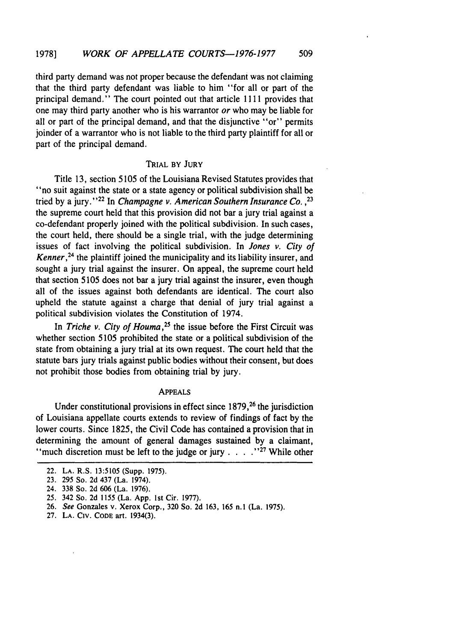third party demand was not proper because the defendant was not claiming that the third party defendant was liable to him "for all or part of the principal demand." The court pointed out that article 1111 provides that one may third party another who is his warrantor or who may be liable for all or part of the principal demand, and that the disjunctive "or" permits joinder of a warrantor who is not liable to the third party plaintiff for all or part of the principal demand.

# TRIAL **BY JURY**

Title **13,** section **5105** of the Louisiana Revised Statutes provides that "no suit against the state or a state agency or political subdivision shall be tried by a jury."2 In Champagne v. *American* Southern Insurance Co. *,23* the supreme court held that this provision did not bar a jury trial against a co-defendant properly joined with the political subdivision. In such cases, the court held, there should be a single trial, with the judge determining issues of fact involving the political subdivision. In Jones *v. City of Kenner*,<sup>24</sup> the plaintiff joined the municipality and its liability insurer, and sought a jury trial against the insurer. On appeal, the supreme court held that section 5105 does not bar a jury trial against the insurer, even though all of the issues against both defendants are identical. The court also upheld the statute against a charge that denial of jury trial against a political subdivision violates the Constitution of 1974.

In *Triche v. City of Houma*,<sup>25</sup> the issue before the First Circuit was whether section 5105 prohibited the state or a political subdivision of the state from obtaining a jury trial at its own request. The court held that the statute bars jury trials against public bodies without their consent, but does not prohibit those bodies from obtaining trial by jury.

### APPEALS

Under constitutional provisions in effect since **1879,26** the jurisdiction of Louisiana appellate courts extends to review of findings of fact by the lower courts. Since 1825, the Civil Code has contained a provision that in determining the amount of general damages sustained by a claimant, "much discretion must be left to the judge or jury . . . . . "??" While other

<sup>22.</sup> **LA.** R.S. 13:5105 (Supp. 1975).

<sup>23.</sup> **295** So. 2d 437 (La. 1974).

<sup>24.</sup> 338 So. 2d 606 (La. 1976).

**<sup>25.</sup>** 342 So. 2d 1155 (La. App. 1st Cir. 1977).

<sup>26.</sup> *See* Gonzales v. Xerox Corp., 320 So. 2d 163, **165** n.j (La. 1975).

<sup>27.</sup> **LA.** CIV. **CODE** art. 1934(3).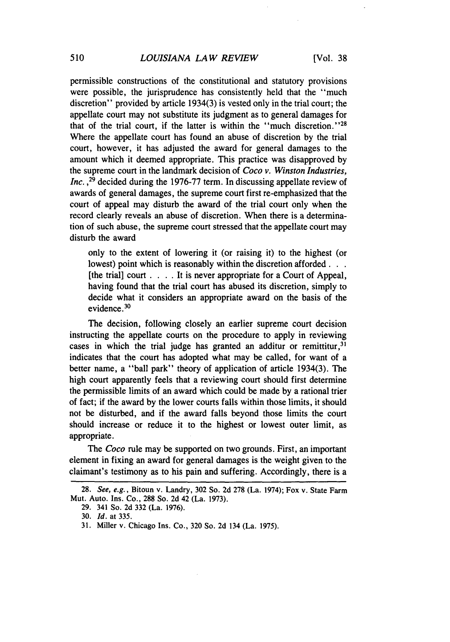permissible constructions of the constitutional and statutory provisions were possible, the jurisprudence has consistently held that the "much discretion" provided by article 1934(3) is vested only in the trial court; the appellate court may not substitute its judgment as to general damages for that of the trial court, if the latter is within the "much discretion."<sup>28</sup> Where the appellate court has found an abuse of discretion by the trial court, however, it has adjusted the award for general damages to the amount which it deemed appropriate. This practice was disapproved by the supreme court in the landmark decision of *Coco v. Winston Industries, Inc.*,<sup>29</sup> decided during the 1976-77 term. In discussing appellate review of awards of general damages, the supreme court first re-emphasized that the court of appeal may disturb the award of the trial court only when the record clearly reveals an abuse of discretion. When there is a determination of such abuse, the supreme court stressed that the appellate court may disturb the award

only to the extent of lowering it (or raising it) to the highest (or lowest) point which is reasonably within the discretion afforded... [the trial] court . **. .** . It is never appropriate for a Court of Appeal, having found that the trial court has abused its discretion, simply to decide what it considers an appropriate award on the basis of the evidence.<sup>30</sup>

The decision, following closely an earlier supreme court decision instructing the appellate courts on the procedure to apply in reviewing cases in which the trial judge has granted an additur or remittitur,  $31$ indicates that the court has adopted what may be called, for want of a better name, a "ball park" theory of application of article 1934(3). The high court apparently feels that a reviewing court should first determine the permissible limits of an award which could be made by a rational trier of fact; if the award by the lower courts falls within those limits, it should not be disturbed, and if the award falls beyond those limits the court should increase or reduce it to the highest or lowest outer limit, as appropriate.

The *Coco* rule may be supported on two grounds. First, an important element in fixing an award for general damages is the weight given to the claimant's testimony as to his pain and suffering. Accordingly, there is a

<sup>28.</sup> See, e.g., Bitoun v. Landry, 302 So. 2d 278 (La. 1974); Fox v. State Farm Mut. Auto. Ins. Co., 288 So. 2d 42 (La. 1973).

<sup>29. 341</sup> So. 2d 332 (La. 1976).

<sup>30.</sup> *Id.* at 335.

<sup>31.</sup> Miller v. Chicago Ins. Co., 320 So. 2d 134 (La. 1975).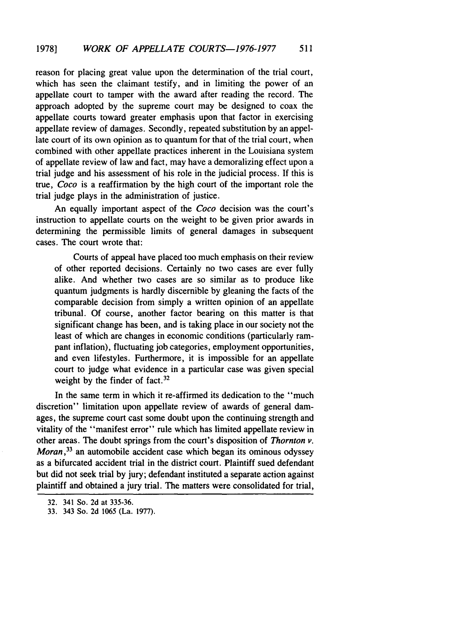reason for placing great value upon the determination of the trial court, which has seen the claimant testify, and in limiting the power of an appellate court to tamper with the award after reading the record. The approach adopted by the supreme court may be designed to coax the appellate courts toward greater emphasis upon that factor in exercising appellate review of damages. Secondly, repeated substitution by an appellate court of its own opinion as to quantum for that of the trial court, when combined with other appellate practices inherent in the Louisiana system of appellate review of law and fact, may have a demoralizing effect upon a trial judge and his assessment of his role in the judicial process. If this is true, *Coco* is a reaffirmation by the high court of the important role the trial judge plays in the administration of justice.

An equally important aspect of the *Coco* decision was the court's instruction to appellate courts on the weight to be given prior awards in determining the permissible limits of general damages in subsequent cases. The court wrote that:

Courts of appeal have placed too much emphasis on their review of other reported decisions. Certainly no two cases are ever fully alike. And whether two cases are so similar as to produce like quantum judgments is hardly discernible by gleaning the facts of the comparable decision from simply a written opinion of an appellate tribunal. Of course, another factor bearing on this matter is that significant change has been, and is taking place in our society not the least of which are changes in economic conditions (particularly rampant inflation), fluctuating job categories, employment opportunities, and even lifestyles. Furthermore, it is impossible for an appellate court to judge what evidence in a particular case was given special weight by the finder of fact.<sup>32</sup>

In the same term in which it re-affirmed its dedication to the "much discretion" limitation upon appellate review of awards of general damages, the supreme court cast some doubt upon the continuing strength and vitality of the "manifest error" rule which has limited appellate review in other areas. The doubt springs from the court's disposition of *Thornton v. Moran*,<sup>33</sup> an automobile accident case which began its ominous odyssey as a bifurcated accident trial in the district court. Plaintiff sued defendant but did not seek trial by jury; defendant instituted a separate action against plaintiff and obtained a jury trial. The matters were consolidated for trial,

<sup>32. 341</sup> So. 2d at 335-36.

<sup>33. 343</sup> So. 2d 1065 (La. 1977).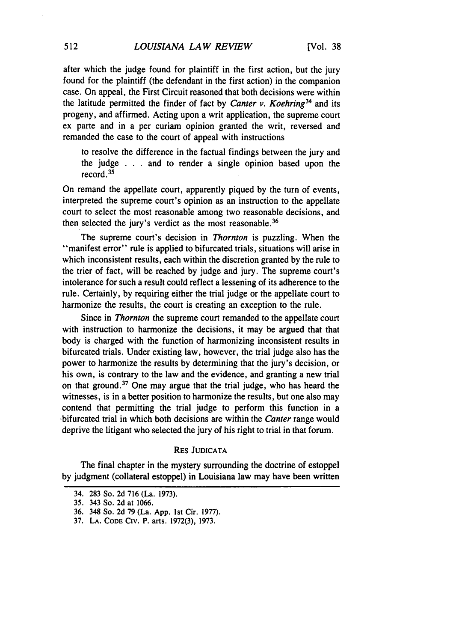after which the judge found for plaintiff in the first action, but the jury found for the plaintiff (the defendant in the first action) in the companion case. On appeal, the First Circuit reasoned that both decisions were within the latitude permitted the finder of fact by *Canter v. Koehring*<sup>34</sup> and its progeny, and affirmed. Acting upon a writ application, the supreme court ex parte and in a per curiam opinion granted the writ, reversed and remanded the case to the court of appeal with instructions

to resolve the difference in the factual findings between the jury and the judge . . . and to render a single opinion based upon the record. 35

On remand the appellate court, apparently piqued by the turn of events, interpreted the supreme court's opinion as an instruction to the appellate court to select the most reasonable among two reasonable decisions, and then selected the jury's verdict as the most reasonable.<sup>36</sup>

The supreme court's decision in Thornton is puzzling. When the "manifest error" rule is applied to bifurcated trials, situations will arise in which inconsistent results, each within the discretion granted by the rule to the trier of fact, will be reached by judge and jury. The supreme court's intolerance for such a result could reflect a lessening of its adherence to the rule. Certainly, by requiring either the trial judge or the appellate court to harmonize the results, the court is creating an exception to the rule.

Since in Thornton the supreme court remanded to the appellate court with instruction to harmonize the decisions, it may be argued that that body is charged with the function of harmonizing inconsistent results in bifurcated trials. Under existing law, however, the trial judge also has the power to harmonize the results by determining that the jury's decision, or his own, is contrary to the law and the evidence, and granting a new trial on that ground. 37 One may argue that the trial judge, who has heard the witnesses, is in a better position to harmonize the results, but one also may contend that permitting the trial judge to perform this function in a -bifurcated trial in which both decisions are within the Canter range would deprive the litigant who selected the jury of his right to trial in that forum.

# RES JUDICATA

The final chapter in the mystery surrounding the doctrine of estoppel by judgment (collateral estoppel) in Louisiana law may have been written

<sup>34. 283</sup> So. 2d 716 (La. 1973).

<sup>35. 343</sup> So. 2d at 1066.

<sup>36. 348</sup> So. 2d 79 (La. App. Ist Cir. 1977).

<sup>37.</sup> **LA. CODE CIV.** P. arts. 1972(3), 1973.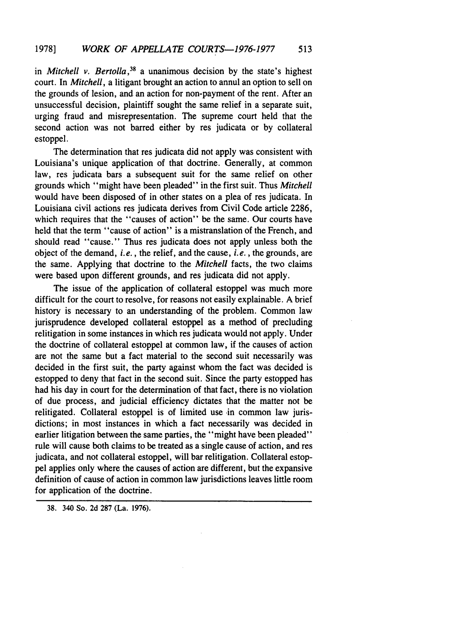in Mitchell v. Bertolla *,38* a unanimous decision by the state's highest court. In Mitchell, a litigant brought an action to annul an option to sell on the grounds of lesion, and an action for non-payment of the rent. After an unsuccessful decision, plaintiff sought the same relief in a separate suit, urging fraud and misrepresentation. The supreme court held that the second action was not barred either by res judicata or by collateral estoppel.

The determination that res judicata did not apply was consistent with Louisiana's unique application of that doctrine. Generally, at common law, res judicata bars a subsequent suit for the same relief on other grounds which "might have been pleaded" in the first suit. Thus Mitchell would have been disposed of in other states on a plea of res judicata. In Louisiana civil actions res judicata derives from Civil Code article 2286, which requires that the "causes of action" be the same. Our courts have held that the term "cause of action" is a mistranslation of the French, and should read "cause." Thus res judicata does not apply unless both the object of the demand, i.e., the relief, and the cause, i.e., the grounds, are the same. Applying that doctrine to the Mitchell facts, the two claims were based upon different grounds, and res judicata did not apply.

The issue of the application of collateral estoppel was much more difficult for the court to resolve, for reasons not easily explainable. A brief history is necessary to an understanding of the problem. Common law jurisprudence developed collateral estoppel as a method of precluding relitigation in some instances in which res judicata would not apply. Under the doctrine of collateral estoppel at common law, if the causes of action are not the same but a fact material to the second suit necessarily was decided in the first suit, the party against whom the fact was decided is estopped to deny that fact in the second suit. Since the party estopped has had his day in court for the determination of that fact, there is no violation of due process, and judicial efficiency dictates that the matter not be relitigated. Collateral estoppel is of limited use in common law jurisdictions; in most instances in which a fact necessarily was decided in earlier litigation between the same parties, the "might have been pleaded" rule will cause both claims to be treated as a single cause of action, and res judicata, and not collateral estoppel, will bar relitigation. Collateral estoppel applies only where the causes of action are different, but the expansive definition of cause of action in common law jurisdictions leaves little room for application of the doctrine.

38. 340 So. 2d 287 (La. **1976).**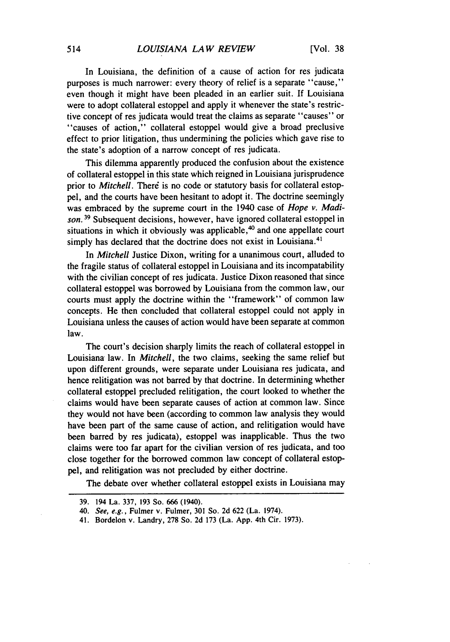In Louisiana, the definition of a cause of action for res judicata purposes is much narrower: every theory of relief is a separate "cause," even though it might have been pleaded in an earlier suit. If Louisiana were to adopt collateral estoppel and apply it whenever the state's restrictive concept of res judicata would treat the claims as separate "causes" or "causes of action," collateral estoppel would give a broad preclusive effect to prior litigation, thus undermining the policies which gave rise to the state's adoption of a narrow concept of res judicata.

This dilemma apparently produced the confusion about the existence of collateral estoppel in this state which reigned in Louisiana jurisprudence prior to *Mitchell*. There is no code or statutory basis for collateral estoppel, and the courts have been hesitant to adopt it. The doctrine seemingly was embraced by the supreme court in the 1940 case of *Hope v. Madison.* **19** Subsequent decisions, however, have ignored collateral estoppel in situations in which it obviously was applicable, $40$  and one appellate court simply has declared that the doctrine does not exist in Louisiana.<sup>41</sup>

In *Mitchell* Justice Dixon, writing for a unanimous court, alluded to the fragile status of collateral estoppel in Louisiana and its incompatability with the civilian concept of res judicata. Justice Dixon reasoned that since collateral estoppel was borrowed by Louisiana from the common law, our courts must apply the doctrine within the "framework" of common law concepts. He then concluded that collateral estoppel could not apply in Louisiana unless the causes of action would have been separate at common law.

The court's decision sharply limits the reach of collateral estoppel in Louisiana' law. In *Mitchell,* the two claims, seeking the same relief but upon different grounds, were separate under Louisiana res judicata, and hence relitigation was not barred by that doctrine. In determining whether collateral estoppel precluded relitigation, the court looked to whether the claims would have been separate causes of action at common law. Since they would not have been (according to common law analysis they would have been part of the same cause of action, and relitigation would have been barred by res judicata), estoppel was inapplicable. Thus the two claims were too far apart for the civilian version of res judicata, and too close together for the borrowed common law concept of collateral estoppel, and relitigation was not precluded by either doctrine.

The debate over whether collateral estoppel exists in Louisiana may

<sup>39. 194</sup> La. 337, 193 So. 666 (1940).

*<sup>40.</sup>* See, e.g., Fulmer v. Fulmer, 301 So. 2d 622 (La. 1974).

<sup>41.</sup> Bordelon v. Landry, 278 So. 2d 173 (La. App. 4th Cir. 1973).